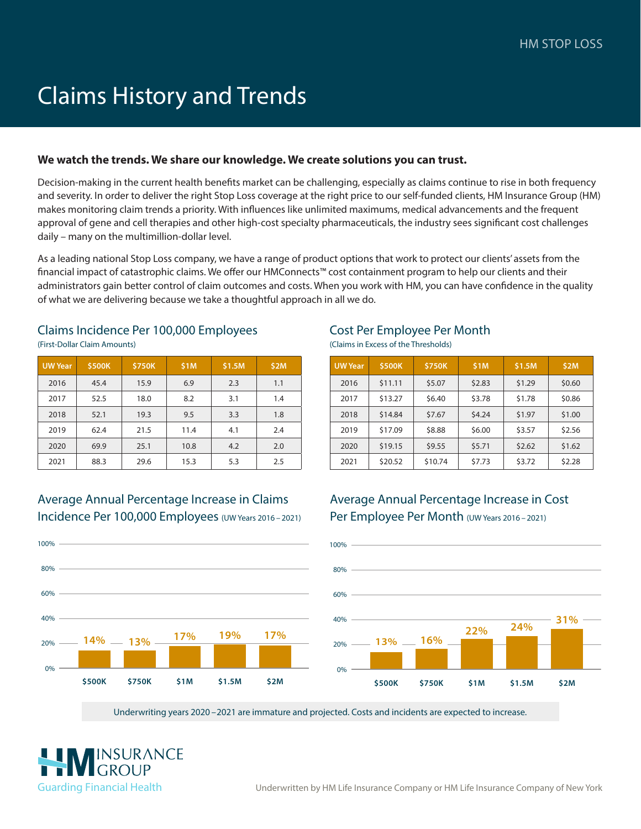# Claims History and Trends

### **We watch the trends. We share our knowledge. We create solutions you can trust.**

Decision-making in the current health benefits market can be challenging, especially as claims continue to rise in both frequency and severity. In order to deliver the right Stop Loss coverage at the right price to our self-funded clients, HM Insurance Group (HM) makes monitoring claim trends a priority. With influences like unlimited maximums, medical advancements and the frequent approval of gene and cell therapies and other high-cost specialty pharmaceuticals, the industry sees significant cost challenges daily – many on the multimillion-dollar level.

As a leading national Stop Loss company, we have a range of product options that work to protect our clients' assets from the financial impact of catastrophic claims. We offer our HMConnects™ cost containment program to help our clients and their administrators gain better control of claim outcomes and costs. When you work with HM, you can have confidence in the quality of what we are delivering because we take a thoughtful approach in all we do.

#### Claims Incidence Per 100,000 Employees (First-Dollar Claim Amounts)

| <b>UW</b> Year | \$500K | \$750K | \$1M | \$1.5M | \$2M |
|----------------|--------|--------|------|--------|------|
| 2016           | 45.4   | 15.9   | 6.9  | 2.3    | 1.1  |
| 2017           | 52.5   | 18.0   | 8.2  | 3.1    | 1.4  |
| 2018           | 52.1   | 19.3   | 9.5  | 3.3    | 1.8  |
| 2019           | 62.4   | 21.5   | 11.4 | 4.1    | 2.4  |
| 2020           | 69.9   | 25.1   | 10.8 | 4.2    | 2.0  |
| 2021           | 88.3   | 29.6   | 15.3 | 5.3    | 2.5  |

### Average Annual Percentage Increase in Claims Incidence Per 100,000 Employees (UW Years 2016 – 2021)

**\$500K \$750K \$1M \$1.5M \$2M**

**14% 13% 17% 19% 17%**



# Cost Per Employee Per Month

(Claims in Excess of the Thresholds)

| <b>UW</b> Year | \$500K  | \$750K  | \$1M   | \$1.5M | \$2M   |
|----------------|---------|---------|--------|--------|--------|
| 2016           | \$11.11 | \$5.07  | \$2.83 | \$1.29 | \$0.60 |
| 2017           | \$13.27 | \$6.40  | \$3.78 | \$1.78 | \$0.86 |
| 2018           | \$14.84 | \$7.67  | \$4.24 | \$1.97 | \$1.00 |
| 2019           | \$17.09 | \$8.88  | \$6.00 | \$3.57 | \$2.56 |
| 2020           | \$19.15 | \$9.55  | \$5.71 | \$2.62 | \$1.62 |
| 2021           | \$20.52 | \$10.74 | \$7.73 | \$3.72 | \$2.28 |

## Average Annual Percentage Increase in Cost Per Employee Per Month (UW Years 2016 – 2021)



Underwriting years 2020 – 2021 are immature and projected. Costs and incidents are expected to increase.



20%

0%

40%

60%

80%

 $100\%$  -